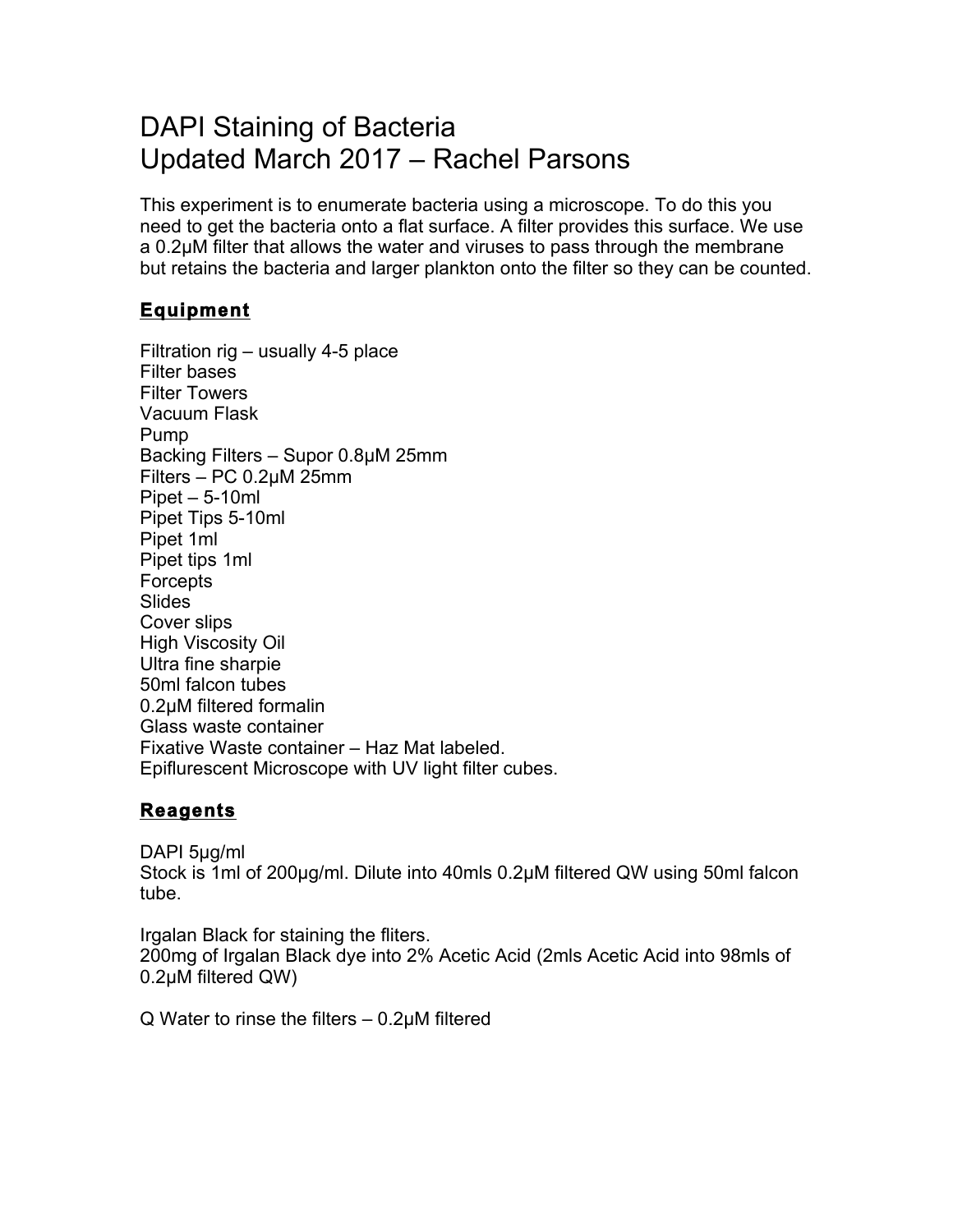## DAPI Staining of Bacteria Updated March 2017 – Rachel Parsons

This experiment is to enumerate bacteria using a microscope. To do this you need to get the bacteria onto a flat surface. A filter provides this surface. We use a 0.2µM filter that allows the water and viruses to pass through the membrane but retains the bacteria and larger plankton onto the filter so they can be counted.

## **Equipment**

Filtration rig – usually 4-5 place Filter bases Filter Towers Vacuum Flask Pump Backing Filters – Supor 0.8µM 25mm Filters – PC 0.2µM 25mm Pipet – 5-10ml Pipet Tips 5-10ml Pipet 1ml Pipet tips 1ml **Forcepts Slides** Cover slips High Viscosity Oil Ultra fine sharpie 50ml falcon tubes 0.2µM filtered formalin Glass waste container Fixative Waste container – Haz Mat labeled. Epiflurescent Microscope with UV light filter cubes.

## **Reagents**

DAPI 5µg/ml Stock is 1ml of 200µg/ml. Dilute into 40mls 0.2µM filtered QW using 50ml falcon tube.

Irgalan Black for staining the fliters. 200mg of Irgalan Black dye into 2% Acetic Acid (2mls Acetic Acid into 98mls of 0.2µM filtered QW)

Q Water to rinse the filters – 0.2µM filtered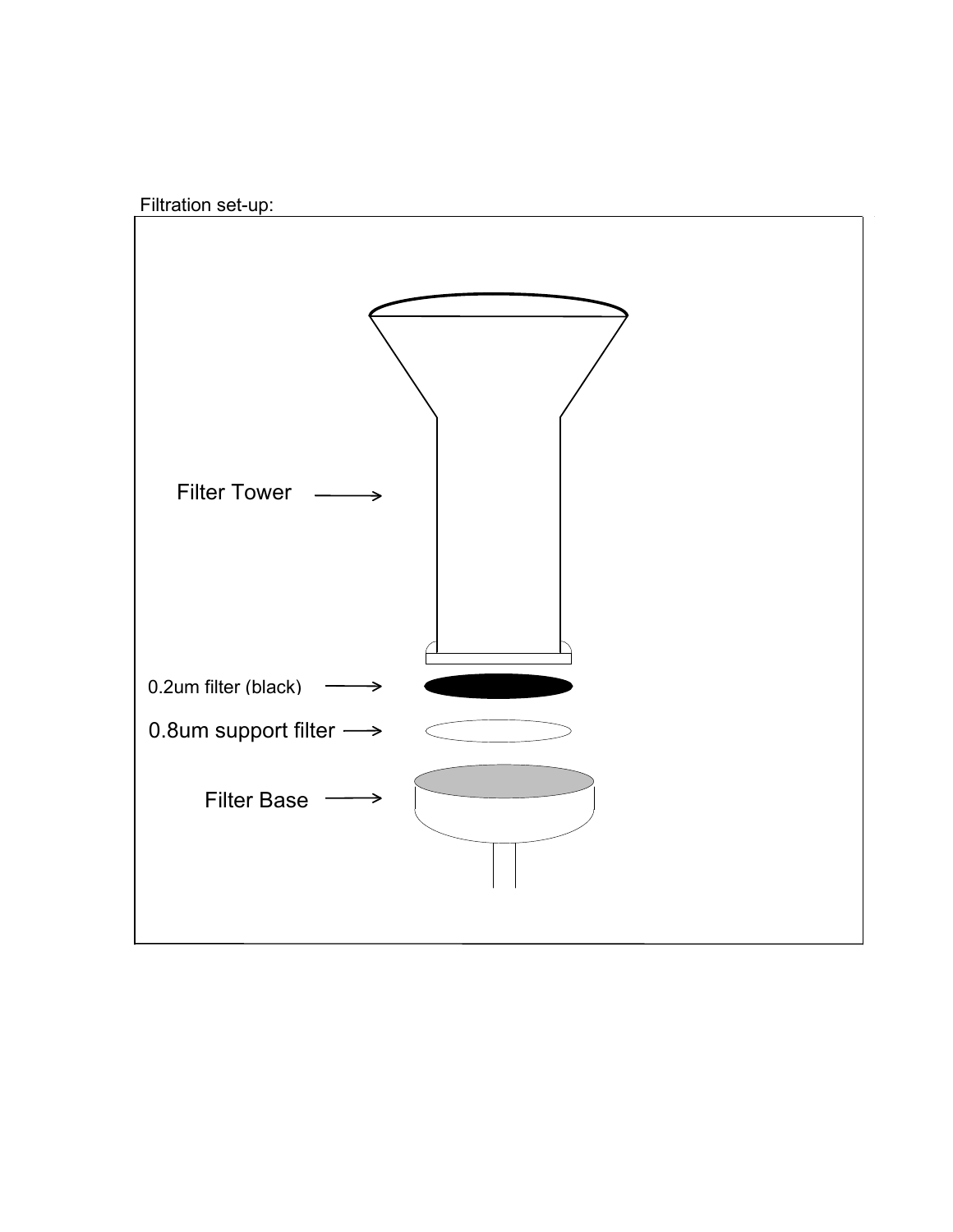